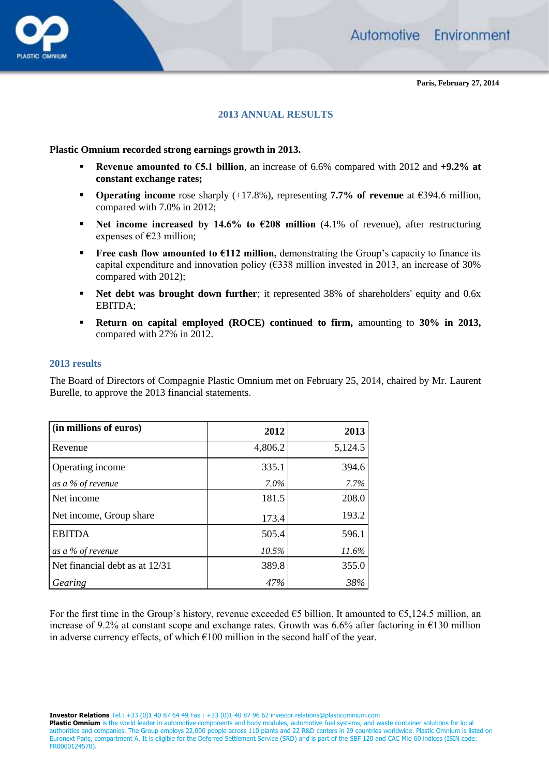

**Paris, February 27, 2014**

## **2013 ANNUAL RESULTS**

#### **Plastic Omnium recorded strong earnings growth in 2013.**

- **Revenue amounted to €5.1 billion**, an increase of 6.6% compared with 2012 and  $+9.2\%$  at **constant exchange rates;**
- **Operating income** rose sharply (+17.8%), representing **7.7% of revenue** at €394.6 million, compared with 7.0% in 2012;
- **Net income increased by 14.6% to €208 million** (4.1% of revenue), after restructuring expenses of  $E23$  million;
- **Free cash flow amounted to**  $\epsilon$ **112 million,** demonstrating the Group's capacity to finance its capital expenditure and innovation policy (€338 million invested in 2013, an increase of 30% compared with 2012);
- **Net debt was brought down further**; it represented 38% of shareholders' equity and 0.6x EBITDA;
- **Return on capital employed (ROCE) continued to firm,** amounting to **30% in 2013,**  compared with 27% in 2012.

#### **2013 results**

The Board of Directors of Compagnie Plastic Omnium met on February 25, 2014, chaired by Mr. Laurent Burelle, to approve the 2013 financial statements.

| (in millions of euros)         | 2012    | 2013    |
|--------------------------------|---------|---------|
| Revenue                        | 4,806.2 | 5,124.5 |
| Operating income               | 335.1   | 394.6   |
| as a % of revenue              | 7.0%    | 7.7%    |
| Net income                     | 181.5   | 208.0   |
| Net income, Group share        | 173.4   | 193.2   |
| <b>EBITDA</b>                  | 505.4   | 596.1   |
| as a % of revenue              | 10.5%   | 11.6%   |
| Net financial debt as at 12/31 | 389.8   | 355.0   |
| Gearing                        | 47%     | 38%     |

For the first time in the Group's history, revenue exceeded  $\epsilon$ 5 billion. It amounted to  $\epsilon$ 5,124.5 million, an increase of 9.2% at constant scope and exchange rates. Growth was 6.6% after factoring in €130 million in adverse currency effects, of which  $\epsilon$ 100 million in the second half of the year.

**Investor Relations** Tel.: +33 (0)1 40 87 64 49 Fax : +33 (0)1 40 87 96 62 investor.relations@plasticomnium.com

**Plastic Omnium** is the world leader in automotive components and body modules, automotive fuel systems, and waste container solutions for local authorities and companies. The Group employs 22,000 people across 110 plants and 22 R&D centers in 29 countries worldwide. Plastic Omnium is listed on Euronext Paris, compartment A. It is eligible for the Deferred Settlement Service (SRD) and is part of the SBF 120 and CAC Mid 60 indices (ISIN code: FR0000124570).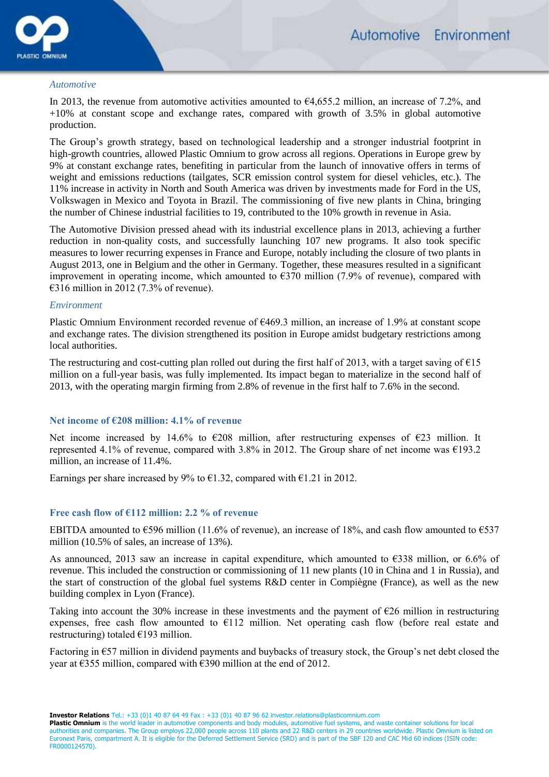

#### *Automotive*

In 2013, the revenue from automotive activities amounted to  $\epsilon$ 4,655.2 million, an increase of 7.2%, and +10% at constant scope and exchange rates, compared with growth of 3.5% in global automotive production.

The Group's growth strategy, based on technological leadership and a stronger industrial footprint in high-growth countries, allowed Plastic Omnium to grow across all regions. Operations in Europe grew by 9% at constant exchange rates, benefiting in particular from the launch of innovative offers in terms of weight and emissions reductions (tailgates, SCR emission control system for diesel vehicles, etc.). The 11% increase in activity in North and South America was driven by investments made for Ford in the US, Volkswagen in Mexico and Toyota in Brazil. The commissioning of five new plants in China, bringing the number of Chinese industrial facilities to 19, contributed to the 10% growth in revenue in Asia.

The Automotive Division pressed ahead with its industrial excellence plans in 2013, achieving a further reduction in non-quality costs, and successfully launching 107 new programs. It also took specific measures to lower recurring expenses in France and Europe, notably including the closure of two plants in August 2013, one in Belgium and the other in Germany. Together, these measures resulted in a significant improvement in operating income, which amounted to  $\epsilon$ 370 million (7.9% of revenue), compared with €316 million in 2012 (7.3% of revenue).

#### *Environment*

Plastic Omnium Environment recorded revenue of €469.3 million, an increase of 1.9% at constant scope and exchange rates. The division strengthened its position in Europe amidst budgetary restrictions among local authorities.

The restructuring and cost-cutting plan rolled out during the first half of 2013, with a target saving of  $\epsilon$ 15 million on a full-year basis, was fully implemented. Its impact began to materialize in the second half of 2013, with the operating margin firming from 2.8% of revenue in the first half to 7.6% in the second.

## **Net income of €208 million: 4.1% of revenue**

Net income increased by 14.6% to  $\epsilon$ 208 million, after restructuring expenses of  $\epsilon$ 23 million. It represented 4.1% of revenue, compared with 3.8% in 2012. The Group share of net income was  $\epsilon$ 193.2 million, an increase of 11.4%.

Earnings per share increased by 9% to  $\epsilon$ 1.32, compared with  $\epsilon$ 1.21 in 2012.

### **Free cash flow of €112 million: 2.2 % of revenue**

EBITDA amounted to  $\epsilon$ 596 million (11.6% of revenue), an increase of 18%, and cash flow amounted to  $\epsilon$ 537 million (10.5% of sales, an increase of 13%).

As announced, 2013 saw an increase in capital expenditure, which amounted to €338 million, or 6.6% of revenue. This included the construction or commissioning of 11 new plants (10 in China and 1 in Russia), and the start of construction of the global fuel systems R&D center in Compiègne (France), as well as the new building complex in Lyon (France).

Taking into account the 30% increase in these investments and the payment of €26 million in restructuring expenses, free cash flow amounted to  $E112$  million. Net operating cash flow (before real estate and restructuring) totaled  $\epsilon$ 193 million.

Factoring in €57 million in dividend payments and buybacks of treasury stock, the Group's net debt closed the year at €355 million, compared with €390 million at the end of 2012.

**Investor Relations** Tel.: +33 (0)1 40 87 64 49 Fax : +33 (0)1 40 87 96 62 investor.relations@plasticomnium.com

Plastic Omnium is the world leader in automotive components and body modules, automotive fuel systems, and waste container solutions for local authorities and companies. The Group employs 22,000 people across 110 plants and 22 R&D centers in 29 countries worldwide. Plastic Omnium is listed on Euronext Paris, compartment A. It is eligible for the Deferred Settlement Service (SRD) and is part of the SBF 120 and CAC Mid 60 indices (ISIN code: FR0000124570).